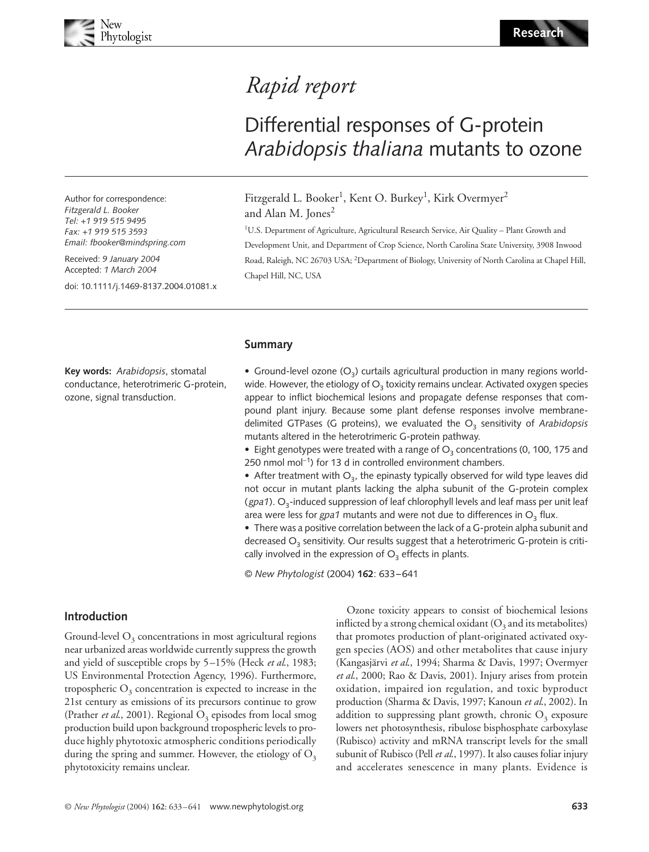# Blackwell Publishing, Ltd. *Rapid report*

# Differential responses of G-protein *Arabidopsis thaliana* mutants to ozone

Author for correspondence: *Fitzgerald L. Booker Tel: +1 919 515 9495 Fax: +1 919 515 3593 Email: fbooker@mindspring.com*

Received: *9 January 2004* Accepted: *1 March 2004*

doi: 10.1111/j.1469-8137.2004.01081.x

Fitzgerald L. Booker<sup>1</sup>, Kent O. Burkey<sup>1</sup>, Kirk Overmyer<sup>2</sup> and Alan M. Jones<sup>2</sup>

<sup>1</sup>U.S. Department of Agriculture, Agricultural Research Service, Air Quality - Plant Growth and Development Unit, and Department of Crop Science, North Carolina State University, 3908 Inwood Road, Raleigh, NC 26703 USA; <sup>2</sup>Department of Biology, University of North Carolina at Chapel Hill, Chapel Hill, NC, USA

#### **Summary**

**Key words:** *Arabidopsis*, stomatal conductance, heterotrimeric G-protein, ozone, signal transduction.

• Ground-level ozone  $(O_3)$  curtails agricultural production in many regions worldwide. However, the etiology of  $O<sub>3</sub>$  toxicity remains unclear. Activated oxygen species appear to inflict biochemical lesions and propagate defense responses that compound plant injury. Because some plant defense responses involve membranedelimited GTPases (G proteins), we evaluated the O<sub>3</sub> sensitivity of Arabidopsis mutants altered in the heterotrimeric G-protein pathway.

• Eight genotypes were treated with a range of  $O<sub>3</sub>$  concentrations (0, 100, 175 and 250 nmol mol<sup>−</sup>1) for 13 d in controlled environment chambers.

• After treatment with  $O_3$ , the epinasty typically observed for wild type leaves did not occur in mutant plants lacking the alpha subunit of the G-protein complex (*gpa1*). O<sub>3</sub>-induced suppression of leaf chlorophyll levels and leaf mass per unit leaf area were less for  $gpa1$  mutants and were not due to differences in  $O<sub>3</sub>$  flux.

• There was a positive correlation between the lack of a G-protein alpha subunit and decreased  $O<sub>3</sub>$  sensitivity. Our results suggest that a heterotrimeric G-protein is critically involved in the expression of  $O<sub>3</sub>$  effects in plants.

© *New Phytologist* (2004) **162**: 633–641

## **Introduction**

Ground-level  $O<sub>3</sub>$  concentrations in most agricultural regions near urbanized areas worldwide currently suppress the growth and yield of susceptible crops by 5–15% (Heck *et al*., 1983; US Environmental Protection Agency, 1996). Furthermore, tropospheric  $O<sub>3</sub>$  concentration is expected to increase in the 21st century as emissions of its precursors continue to grow (Prather *et al.*, 2001). Regional  $O_3$  episodes from local smog production build upon background tropospheric levels to produce highly phytotoxic atmospheric conditions periodically during the spring and summer. However, the etiology of  $O<sub>3</sub>$ phytotoxicity remains unclear.

Ozone toxicity appears to consist of biochemical lesions inflicted by a strong chemical oxidant  $(O_3$  and its metabolites) that promotes production of plant-originated activated oxygen species (AOS) and other metabolites that cause injury (Kangasjärvi *et al*., 1994; Sharma & Davis, 1997; Overmyer *et al*., 2000; Rao & Davis, 2001). Injury arises from protein oxidation, impaired ion regulation, and toxic byproduct production (Sharma & Davis, 1997; Kanoun *et al*., 2002). In addition to suppressing plant growth, chronic  $O<sub>3</sub>$  exposure lowers net photosynthesis, ribulose bisphosphate carboxylase (Rubisco) activity and mRNA transcript levels for the small subunit of Rubisco (Pell *et al*., 1997). It also causes foliar injury and accelerates senescence in many plants. Evidence is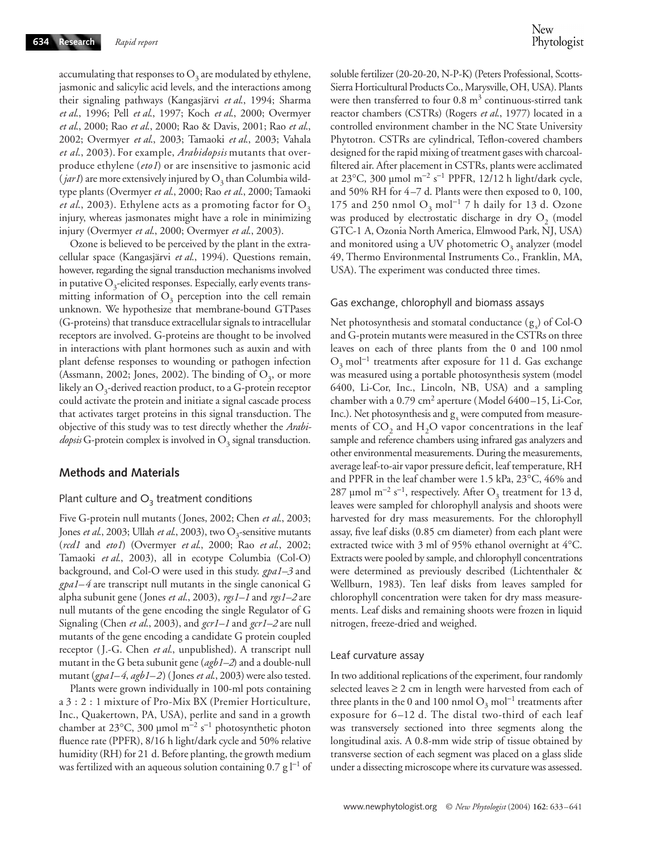accumulating that responses to  $O_3$  are modulated by ethylene, jasmonic and salicylic acid levels, and the interactions among their signaling pathways (Kangasjärvi *et al*., 1994; Sharma *et al*., 1996; Pell *et al*., 1997; Koch *et al*., 2000; Overmyer *et al*., 2000; Rao *et al*., 2000; Rao & Davis, 2001; Rao *et al*., 2002; Overmyer *et al*., 2003; Tamaoki *et al*., 2003; Vahala *et al*., 2003). For example, *Arabidopsis* mutants that overproduce ethylene (*eto1*) or are insensitive to jasmonic acid  $(jar1)$  are more extensively injured by  $O<sub>3</sub>$  than Columbia wildtype plants (Overmyer *et al*., 2000; Rao *et al*., 2000; Tamaoki *et al.*, 2003). Ethylene acts as a promoting factor for  $O_3$ injury, whereas jasmonates might have a role in minimizing injury (Overmyer *et al*., 2000; Overmyer *et al*., 2003).

Ozone is believed to be perceived by the plant in the extracellular space (Kangasjärvi *et al*., 1994). Questions remain, however, regarding the signal transduction mechanisms involved in putative  $O_3$ -elicited responses. Especially, early events transmitting information of  $O<sub>3</sub>$  perception into the cell remain unknown. We hypothesize that membrane-bound GTPases (G-proteins) that transduce extracellular signals to intracellular receptors are involved. G-proteins are thought to be involved in interactions with plant hormones such as auxin and with plant defense responses to wounding or pathogen infection (Assmann, 2002; Jones, 2002). The binding of  $O_3$ , or more likely an  $O_3$ -derived reaction product, to a G-protein receptor could activate the protein and initiate a signal cascade process that activates target proteins in this signal transduction. The objective of this study was to test directly whether the *Arabi-* $\omega$ *dopsis* G-protein complex is involved in  $O<sub>3</sub>$  signal transduction.

#### **Methods and Materials**

#### Plant culture and  $O_3$  treatment conditions

Five G-protein null mutants (Jones, 2002; Chen *et al*., 2003; Jones *et al.*, 2003; Ullah *et al.*, 2003), two O<sub>3</sub>-sensitive mutants (*rcd1* and *eto1*) (Overmyer *et al*., 2000; Rao *et al*., 2002; Tamaoki *et al*., 2003), all in ecotype Columbia (Col-O) background, and Col-O were used in this study. *gpa1–3* and *gpa1–4* are transcript null mutants in the single canonical G alpha subunit gene (Jones *et al*., 2003), *rgs1–1* and *rgs1–2* are null mutants of the gene encoding the single Regulator of G Signaling (Chen *et al*., 2003), and *gcr1–1* and *gcr1–2* are null mutants of the gene encoding a candidate G protein coupled receptor (J.-G. Chen *et al.*, unpublished). A transcript null mutant in the G beta subunit gene (*agb1–2*) and a double-null mutant (*gpa1–4*, *agb1–2*) (Jones *et al*., 2003) were also tested.

Plants were grown individually in 100-ml pots containing a 3 : 2 : 1 mixture of Pro-Mix BX (Premier Horticulture, Inc., Quakertown, PA, USA), perlite and sand in a growth chamber at 23 $^{\circ}$ C, 300 µmol m<sup>-2</sup> s<sup>-1</sup> photosynthetic photon fluence rate (PPFR), 8/16 h light/dark cycle and 50% relative humidity (RH) for 21 d. Before planting, the growth medium was fertilized with an aqueous solution containing  $0.7 g$  l<sup>−1</sup> of

soluble fertilizer (20-20-20, N-P-K) (Peters Professional, Scotts-Sierra Horticultural Products Co., Marysville, OH, USA). Plants were then transferred to four  $0.8 \text{ m}^3$  continuous-stirred tank reactor chambers (CSTRs) (Rogers *et al*., 1977) located in a controlled environment chamber in the NC State University Phytotron. CSTRs are cylindrical, Teflon-covered chambers designed for the rapid mixing of treatment gases with charcoalfiltered air. After placement in CSTRs, plants were acclimated at 23°C, 300 µmol m<sup>-2</sup> s<sup>-1</sup> PPFR, 12/12 h light/dark cycle, and 50% RH for 4–7 d. Plants were then exposed to 0, 100, 175 and 250 nmol O<sub>3</sub> mol<sup>-1</sup> 7 h daily for 13 d. Ozone was produced by electrostatic discharge in dry  $O<sub>2</sub>$  (model GTC-1 A, Ozonia North America, Elmwood Park, NJ, USA) and monitored using a UV photometric  $O<sub>3</sub>$  analyzer (model 49, Thermo Environmental Instruments Co., Franklin, MA, USA). The experiment was conducted three times.

#### Gas exchange, chlorophyll and biomass assays

Net photosynthesis and stomatal conductance  $(g_s)$  of Col-O and G-protein mutants were measured in the CSTRs on three leaves on each of three plants from the 0 and 100 nmol  $O_3$  mol<sup>-1</sup> treatments after exposure for 11 d. Gas exchange was measured using a portable photosynthesis system (model 6400, Li-Cor, Inc., Lincoln, NB, USA) and a sampling chamber with a  $0.79 \text{ cm}^2$  aperture (Model 6400-15, Li-Cor, Inc.). Net photosynthesis and  $g_s$  were computed from measurements of  $CO<sub>2</sub>$  and  $H<sub>2</sub>O$  vapor concentrations in the leaf sample and reference chambers using infrared gas analyzers and other environmental measurements. During the measurements, average leaf-to-air vapor pressure deficit, leaf temperature, RH and PPFR in the leaf chamber were 1.5 kPa, 23°C, 46% and 287 µmol m<sup>-2</sup> s<sup>-1</sup>, respectively. After O<sub>3</sub> treatment for 13 d, leaves were sampled for chlorophyll analysis and shoots were harvested for dry mass measurements. For the chlorophyll assay, five leaf disks (0.85 cm diameter) from each plant were extracted twice with 3 ml of 95% ethanol overnight at 4°C. Extracts were pooled by sample, and chlorophyll concentrations were determined as previously described (Lichtenthaler & Wellburn, 1983). Ten leaf disks from leaves sampled for chlorophyll concentration were taken for dry mass measurements. Leaf disks and remaining shoots were frozen in liquid nitrogen, freeze-dried and weighed.

#### Leaf curvature assay

In two additional replications of the experiment, four randomly selected leaves  $\geq 2$  cm in length were harvested from each of three plants in the 0 and 100 nmol  $O_3$  mol<sup>-1</sup> treatments after exposure for 6–12 d. The distal two-third of each leaf was transversely sectioned into three segments along the longitudinal axis. A 0.8-mm wide strip of tissue obtained by transverse section of each segment was placed on a glass slide under a dissecting microscope where its curvature was assessed.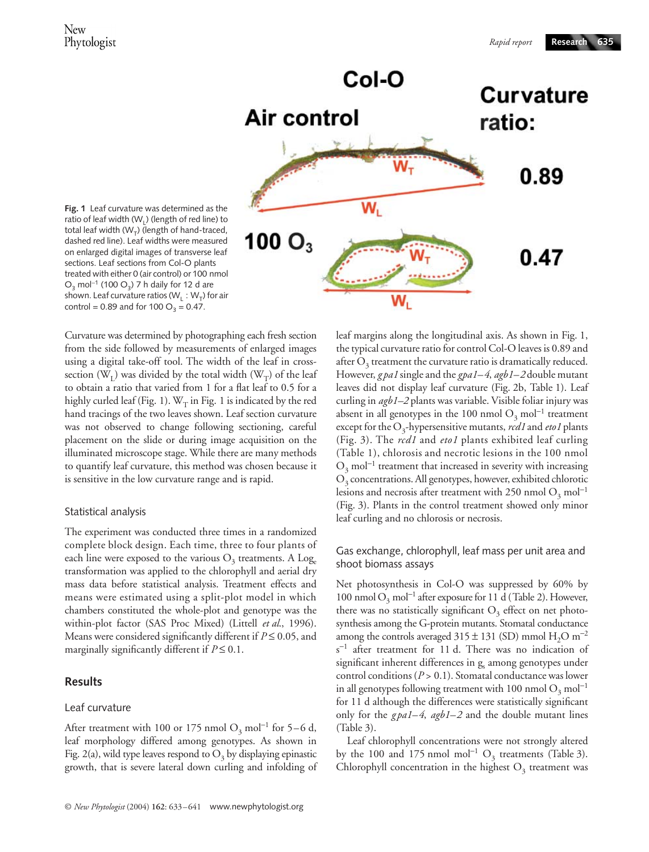

**Fig. 1** Leaf curvature was determined as the ratio of leaf width (W<sub>u</sub>) (length of red line) to total leaf width ( $W_T$ ) (length of hand-traced, dashed red line). Leaf widths were measured on enlarged digital images of transverse leaf sections. Leaf sections from Col-O plants treated with either 0 (air control) or 100 nmol  $O_3$  mol<sup>−1</sup> (100  $O_3$ ) 7 h daily for 12 d are shown. Leaf curvature ratios ( $W_1 : W_T$ ) for air control = 0.89 and for 100  $O_3 = 0.47$ .

Curvature was determined by photographing each fresh section from the side followed by measurements of enlarged images using a digital take-off tool. The width of the leaf in crosssection ( $W_{I}$ ) was divided by the total width ( $W_{T}$ ) of the leaf to obtain a ratio that varied from 1 for a flat leaf to 0.5 for a highly curled leaf (Fig. 1).  $W_T$  in Fig. 1 is indicated by the red hand tracings of the two leaves shown. Leaf section curvature was not observed to change following sectioning, careful placement on the slide or during image acquisition on the illuminated microscope stage. While there are many methods to quantify leaf curvature, this method was chosen because it is sensitive in the low curvature range and is rapid.

## Statistical analysis

The experiment was conducted three times in a randomized complete block design. Each time, three to four plants of each line were exposed to the various  $O_3$  treatments. A Log. transformation was applied to the chlorophyll and aerial dry mass data before statistical analysis. Treatment effects and means were estimated using a split-plot model in which chambers constituted the whole-plot and genotype was the within-plot factor (SAS Proc Mixed) (Littell *et al*., 1996). Means were considered significantly different if *P* ≤ 0.05, and marginally significantly different if  $P \leq 0.1$ .

## **Results**

## Leaf curvature

After treatment with 100 or 175 nmol O<sub>3</sub> mol<sup>-1</sup> for 5–6 d, leaf morphology differed among genotypes. As shown in Fig. 2(a), wild type leaves respond to  $O<sub>3</sub>$  by displaying epinastic growth, that is severe lateral down curling and infolding of leaf margins along the longitudinal axis. As shown in Fig. 1, the typical curvature ratio for control Col-O leaves is 0.89 and after  $O_3$  treatment the curvature ratio is dramatically reduced. However, *g pa1* single and the *gpa1–4*, *agb1–2* double mutant leaves did not display leaf curvature (Fig. 2b, Table 1). Leaf curling in *agb1–2* plants was variable. Visible foliar injury was absent in all genotypes in the 100 nmol  $O_3$  mol<sup>-1</sup> treatment except for the O<sub>3</sub>-hypersensitive mutants, *rcd1* and *eto1* plants (Fig. 3). The *rcd1* and *eto1* plants exhibited leaf curling (Table 1), chlorosis and necrotic lesions in the 100 nmol  $O_3$  mol<sup>-1</sup> treatment that increased in severity with increasing  $O<sub>3</sub>$  concentrations. All genotypes, however, exhibited chlorotic lesions and necrosis after treatment with 250 nmol  $O_3$  mol<sup>-1</sup> (Fig. 3). Plants in the control treatment showed only minor leaf curling and no chlorosis or necrosis.

## Gas exchange, chlorophyll, leaf mass per unit area and shoot biomass assays

Net photosynthesis in Col-O was suppressed by 60% by 100 nmol  $O_3$  mol<sup>-1</sup> after exposure for 11 d (Table 2). However, there was no statistically significant  $O<sub>3</sub>$  effect on net photosynthesis among the G-protein mutants. Stomatal conductance among the controls averaged  $315 \pm 131$  (SD) mmol H<sub>2</sub>O m<sup>-2</sup> s <sup>−</sup><sup>1</sup> after treatment for 11 d. There was no indication of significant inherent differences in g<sub>s</sub> among genotypes under control conditions (*P* > 0.1). Stomatal conductance was lower in all genotypes following treatment with 100 nmol  $O_3$  mol<sup>-1</sup> for 11 d although the differences were statistically significant only for the *g pa1–4*, *agb1–2* and the double mutant lines (Table 3).

Leaf chlorophyll concentrations were not strongly altered by the 100 and 175 nmol mol<sup>-1</sup> O<sub>3</sub> treatments (Table 3). Chlorophyll concentration in the highest  $O<sub>3</sub>$  treatment was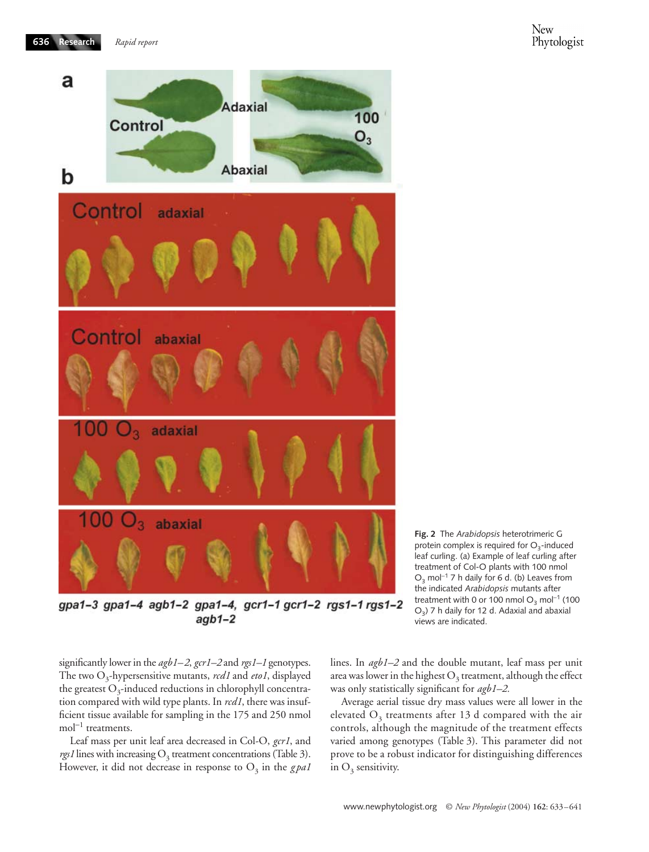

gpa1-3 gpa1-4 agb1-2 gpa1-4, gcr1-1 gcr1-2 rgs1-1 rgs1-2  $aqb1-2$ 

**Fig. 2** The *Arabidopsis* heterotrimeric G protein complex is required for  $O<sub>3</sub>$ -induced leaf curling. (a) Example of leaf curling after treatment of Col-O plants with 100 nmol O<sub>3</sub> mol<sup>-1</sup> 7 h daily for 6 d. (b) Leaves from the indicated *Arabidopsis* mutants after treatment with 0 or 100 nmol  $O_3$  mol<sup>-1</sup> (100 O<sub>2</sub>) 7 h daily for 12 d. Adaxial and abaxial views are indicated.

significantly lower in the *agb1–2*, *gcr1–2* and *rgs1–1* genotypes. The two O<sub>3</sub>-hypersensitive mutants, *rcd1* and *eto1*, displayed the greatest  $O_3$ -induced reductions in chlorophyll concentration compared with wild type plants. In *rcd1*, there was insufficient tissue available for sampling in the 175 and 250 nmol mol<sup>−</sup><sup>1</sup> treatments.

Leaf mass per unit leaf area decreased in Col-O, *gcr1*, and  $rgs1$  lines with increasing  $O<sub>3</sub>$  treatment concentrations (Table 3). However, it did not decrease in response to  $O_3$  in the  $gpat$  lines. In *agb1–2* and the double mutant, leaf mass per unit area was lower in the highest  $O_3$  treatment, although the effect was only statistically significant for *agb1–2.*

Average aerial tissue dry mass values were all lower in the elevated  $O_3$  treatments after 13 d compared with the air controls, although the magnitude of the treatment effects varied among genotypes (Table 3). This parameter did not prove to be a robust indicator for distinguishing differences in  $O_3$  sensitivity.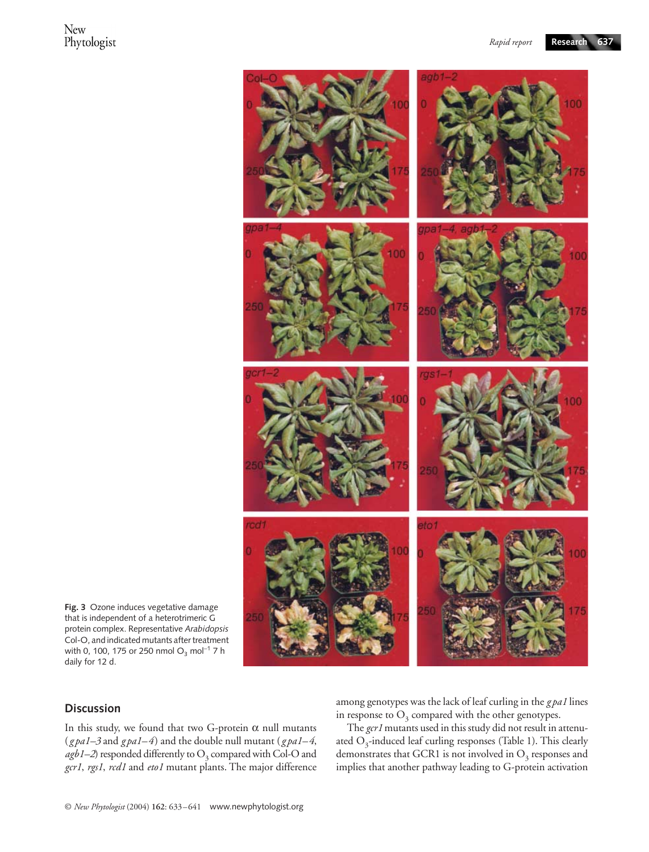

**Fig. 3** Ozone induces vegetative damage that is independent of a heterotrimeric G protein complex. Representative *Arabidopsis* Col-O, and indicated mutants after treatment with 0, 100, 175 or 250 nmol O<sub>3</sub> mol<sup>-1</sup> 7 h daily for 12 d.

## **Discussion**

In this study, we found that two G-protein  $\alpha$  null mutants (*g pa1–3* and *g pa1–4*) and the double null mutant (*g pa1–4*,  $agb1-2$ ) responded differently to  $O<sub>3</sub>$  compared with Col-O and *gcr1*, *rgs1*, *rcd1* and *eto1* mutant plants. The major difference

among genotypes was the lack of leaf curling in the *g pa1* lines in response to  $O_3$  compared with the other genotypes.

The *gcr1* mutants used in this study did not result in attenuated  $O_3$ -induced leaf curling responses (Table 1). This clearly demonstrates that GCR1 is not involved in  $O<sub>3</sub>$  responses and implies that another pathway leading to G-protein activation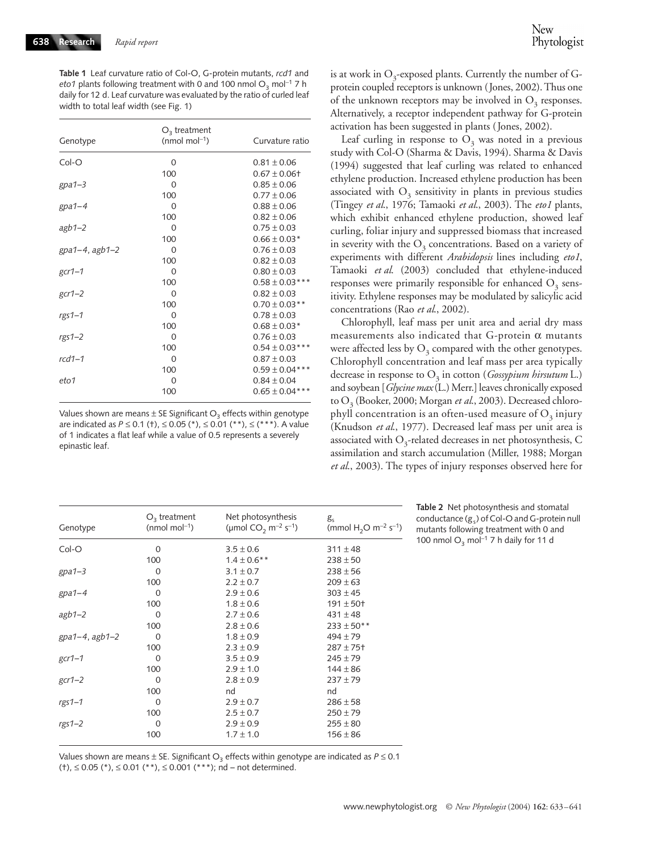**Table 1** Leaf curvature ratio of Col-O, G-protein mutants, *rcd1* and *eto1* plants following treatment with 0 and 100 nmol  $O_3$  mol<sup>-1</sup> 7 h daily for 12 d. Leaf curvature was evaluated by the ratio of curled leaf width to total leaf width (see Fig. 1)

| Genotype            | $O3$ treatment<br>(nmol mol <sup>-1</sup> ) | Curvature ratio     |
|---------------------|---------------------------------------------|---------------------|
| Col-O               | $\Omega$                                    | $0.81 \pm 0.06$     |
|                     | 100                                         | $0.67 \pm 0.06$ t   |
| $gpa1-3$            | $\Omega$                                    | $0.85 \pm 0.06$     |
|                     | 100                                         | $0.77 \pm 0.06$     |
| $gpa1-4$            | $\Omega$                                    | $0.88 \pm 0.06$     |
|                     | 100                                         | $0.82 \pm 0.06$     |
| $agb1-2$            | $\Omega$                                    | $0.75 \pm 0.03$     |
|                     | 100                                         | $0.66 \pm 0.03*$    |
| $gpa1-4$ , $agb1-2$ | $\Omega$                                    | $0.76 \pm 0.03$     |
|                     | 100                                         | $0.82 \pm 0.03$     |
| $gcr1-1$            | $\Omega$                                    | $0.80 \pm 0.03$     |
|                     | 100                                         | $0.58 \pm 0.03$ *** |
| $gcr1-2$            | $\Omega$                                    | $0.82 \pm 0.03$     |
|                     | 100                                         | $0.70 \pm 0.03$ **  |
| $rgs1-1$            | $\Omega$                                    | $0.78 \pm 0.03$     |
|                     | 100                                         | $0.68 \pm 0.03*$    |
| $rgs1-2$            | $\Omega$                                    | $0.76 \pm 0.03$     |
|                     | 100                                         | $0.54 \pm 0.03$ *** |
| $rcd1-1$            | $\Omega$                                    | $0.87 \pm 0.03$     |
|                     | 100                                         | $0.59 \pm 0.04***$  |
| eto1                | $\Omega$                                    | $0.84 \pm 0.04$     |
|                     | 100                                         | $0.65 \pm 0.04***$  |

Values shown are means  $\pm$  SE Significant  $O_3$  effects within genotype are indicated as *P* ≤ 0.1 (†), ≤ 0.05 (\*), ≤ 0.01 (\*\*), ≤ (\*\*\*). A value of 1 indicates a flat leaf while a value of 0.5 represents a severely epinastic leaf.

is at work in  $O_3$ -exposed plants. Currently the number of Gprotein coupled receptors is unknown (Jones, 2002). Thus one of the unknown receptors may be involved in  $O_3$  responses. Alternatively, a receptor independent pathway for G-protein activation has been suggested in plants (Jones, 2002).

Leaf curling in response to  $O_3$  was noted in a previous study with Col-O (Sharma & Davis, 1994). Sharma & Davis (1994) suggested that leaf curling was related to enhanced ethylene production. Increased ethylene production has been associated with  $O<sub>3</sub>$  sensitivity in plants in previous studies (Tingey *et al*., 1976; Tamaoki *et al*., 2003). The *eto1* plants, which exhibit enhanced ethylene production, showed leaf curling, foliar injury and suppressed biomass that increased in severity with the  $O<sub>3</sub>$  concentrations. Based on a variety of experiments with different *Arabidopsis* lines including *eto1*, Tamaoki *et al*. (2003) concluded that ethylene-induced responses were primarily responsible for enhanced  $O<sub>3</sub>$  sensitivity. Ethylene responses may be modulated by salicylic acid concentrations (Rao *et al*., 2002).

Chlorophyll, leaf mass per unit area and aerial dry mass measurements also indicated that G-protein  $\alpha$  mutants were affected less by  $O_3$  compared with the other genotypes. Chlorophyll concentration and leaf mass per area typically decrease in response to  $O_3$  in cotton (*Gossypium hirsutum* L.) and soybean [*Glycine max* (L.) Merr.] leaves chronically exposed to O<sub>3</sub> (Booker, 2000; Morgan et al., 2003). Decreased chlorophyll concentration is an often-used measure of  $O_3$  injury (Knudson *et al*., 1977). Decreased leaf mass per unit area is associated with  $O_3$ -related decreases in net photosynthesis, C assimilation and starch accumulation (Miller, 1988; Morgan *et al*., 2003). The types of injury responses observed here for

| Genotype            | $O3$ treatment<br>(nmol mol <sup>-1</sup> ) | Net photosynthesis<br>(µmol CO <sub>2</sub> m <sup>-2</sup> s <sup>-1</sup> ) | $g_{s}$<br>(mmol H <sub>2</sub> O m <sup>-2</sup> s <sup>-1</sup> ) |
|---------------------|---------------------------------------------|-------------------------------------------------------------------------------|---------------------------------------------------------------------|
| Col-O               | 0                                           | $3.5 \pm 0.6$                                                                 | $311 \pm 48$                                                        |
|                     | 100                                         | $1.4 \pm 0.6$ **                                                              | $238 \pm 50$                                                        |
| $gpa1-3$            | 0                                           | $3.1 \pm 0.7$                                                                 | $238 \pm 56$                                                        |
|                     | 100                                         | $2.2 \pm 0.7$                                                                 | $209 \pm 63$                                                        |
| $gpa1-4$            | 0                                           | $2.9 + 0.6$                                                                   | $303 \pm 45$                                                        |
|                     | 100                                         | $1.8 \pm 0.6$                                                                 | $191 \pm 50$ t                                                      |
| $a$ gb1-2           | 0                                           | $2.7 \pm 0.6$                                                                 | $431 \pm 48$                                                        |
|                     | 100                                         | $2.8 \pm 0.6$                                                                 | $233 \pm 50**$                                                      |
| $gpa1-4$ , $agb1-2$ | 0                                           | $1.8 \pm 0.9$                                                                 | $494 \pm 79$                                                        |
|                     | 100                                         | $2.3 \pm 0.9$                                                                 | $287 + 75$ <sup>+</sup>                                             |
| $gcr1-1$            | 0                                           | $3.5 \pm 0.9$                                                                 | $245 \pm 79$                                                        |
|                     | 100                                         | $2.9 \pm 1.0$                                                                 | $144 \pm 86$                                                        |
| $gcr1-2$            | 0                                           | $2.8 \pm 0.9$                                                                 | $237 + 79$                                                          |
|                     | 100                                         | nd                                                                            | nd                                                                  |
| $rgs1-1$            | 0                                           | $2.9 \pm 0.7$                                                                 | $286 \pm 58$                                                        |
|                     | 100                                         | $2.5 \pm 0.7$                                                                 | $250 \pm 79$                                                        |
| $rgs1-2$            | 0                                           | $2.9 \pm 0.9$                                                                 | $255 \pm 80$                                                        |
|                     | 100                                         | $1.7 \pm 1.0$                                                                 | $156 \pm 86$                                                        |
|                     |                                             |                                                                               |                                                                     |

**Table 2** Net photosynthesis and stomatal conductance  $(g_s)$  of Col-O and G-protein null mutants following treatment with 0 and 100 nmol O<sub>3</sub> mol<sup>-1</sup> 7 h daily for 11 d

Values shown are means  $\pm$  SE. Significant O<sub>3</sub> effects within genotype are indicated as  $P \le 0.1$ (†), ≤ 0.05 (\*), ≤ 0.01 (\*\*), ≤ 0.001 (\*\*\*); nd – not determined.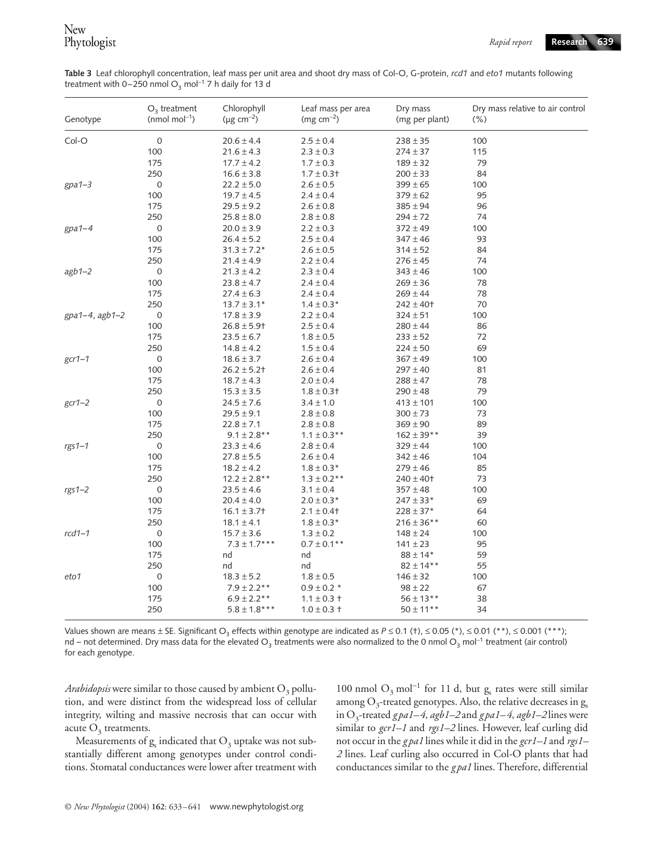**Table 3** Leaf chlorophyll concentration, leaf mass per unit area and shoot dry mass of Col-O, G-protein, *rcd1* and *eto1* mutants following treatment with 0–250 nmol O<sub>3</sub> mol<sup>-1</sup> 7 h daily for 13 d

| Genotype       | $O3$ treatment<br>(nmol mol <sup>-1</sup> ) | Chlorophyll<br>( $\mu$ g cm <sup>-2</sup> ) | Leaf mass per area<br>( $mg \, cm^{-2}$ ) | Dry mass<br>(mg per plant) | Dry mass relative to air control<br>$(\% )$ |
|----------------|---------------------------------------------|---------------------------------------------|-------------------------------------------|----------------------------|---------------------------------------------|
| Col-O          | $\boldsymbol{0}$                            | $20.6 \pm 4.4$                              | $2.5 \pm 0.4$                             | $238 \pm 35$               | 100                                         |
|                | 100                                         | $21.6 \pm 4.3$                              | $2.3 \pm 0.3$                             | $274 \pm 37$               | 115                                         |
|                | 175                                         | $17.7 \pm 4.2$                              | $1.7 \pm 0.3$                             | $189 \pm 32$               | 79                                          |
|                | 250                                         | $16.6 \pm 3.8$                              | $1.7 \pm 0.3$                             | $200 \pm 33$               | 84                                          |
| $gpa1-3$       | $\mathsf{O}\xspace$                         | $22.2 \pm 5.0$                              | $2.6 \pm 0.5$                             | $399 \pm 65$               | 100                                         |
|                | 100                                         | $19.7 \pm 4.5$                              | $2.4 \pm 0.4$                             | $379 \pm 62$               | 95                                          |
|                | 175                                         | $29.5 \pm 9.2$                              | $2.6 \pm 0.8$                             | $385 \pm 94$               | 96                                          |
|                | 250                                         | $25.8 \pm 8.0$                              | $2.8 \pm 0.8$                             | $294 \pm 72$               | 74                                          |
| $gpa1-4$       | $\mathsf{O}\xspace$                         | $20.0 \pm 3.9$                              | $2.2 \pm 0.3$                             | $372 \pm 49$               | 100                                         |
|                | 100                                         | $26.4 \pm 5.2$                              | $2.5 \pm 0.4$                             | $347 \pm 46$               | 93                                          |
|                | 175                                         | $31.3 \pm 7.2*$                             | $2.6 \pm 0.5$                             | $314 \pm 52$               | 84                                          |
|                | 250                                         | $21.4 \pm 4.9$                              | $2.2 \pm 0.4$                             | $276 \pm 45$               | 74                                          |
| $agb1-2$       | $\mathsf{O}\xspace$                         | $21.3 \pm 4.2$                              | $2.3 \pm 0.4$                             | $343 \pm 46$               | 100                                         |
|                | 100                                         | $23.8 \pm 4.7$                              | $2.4 \pm 0.4$                             | $269 \pm 36$               | 78                                          |
|                | 175                                         | $27.4 \pm 6.3$                              | $2.4 \pm 0.4$                             | $269 \pm 44$               | 78                                          |
|                | 250                                         | $13.7 \pm 3.1*$                             | $1.4 \pm 0.3*$                            | $242 \pm 40$ t             | 70                                          |
| gpa1-4, agb1-2 | $\mathsf{O}\xspace$                         | $17.8 \pm 3.9$                              | $2.2 \pm 0.4$                             | $324 \pm 51$               | 100                                         |
|                | 100                                         | $26.8 \pm 5.9$ +                            | $2.5 \pm 0.4$                             | $280 \pm 44$               | 86                                          |
|                | 175                                         | $23.5 \pm 6.7$                              | $1.8 \pm 0.5$                             | $233 \pm 52$               | 72                                          |
|                | 250                                         | $14.8 \pm 4.2$                              | $1.5 \pm 0.4$                             | $224 \pm 50$               | 69                                          |
| $gcr1-1$       | $\mathsf{O}\xspace$                         | $18.6 \pm 3.7$                              | $2.6 \pm 0.4$                             | $367 \pm 49$               | 100                                         |
|                | 100                                         | $26.2 \pm 5.2$ +                            | $2.6 \pm 0.4$                             | $297 \pm 40$               | 81                                          |
|                | 175                                         | $18.7 \pm 4.3$                              | $2.0 \pm 0.4$                             | $288 \pm 47$               | 78                                          |
|                | 250                                         | $15.3 \pm 3.5$                              | $1.8 \pm 0.3$                             | $290 \pm 48$               | 79                                          |
| $gcr1-2$       | $\mathsf{O}\xspace$                         | $24.5 \pm 7.6$                              | $3.4 \pm 1.0$                             | $413 \pm 101$              | 100                                         |
|                | 100                                         | $29.5 \pm 9.1$                              | $2.8 \pm 0.8$                             | $300 \pm 73$               | 73                                          |
|                | 175                                         | $22.8 \pm 7.1$                              | $2.8 \pm 0.8$                             | $369 \pm 90$               | 89                                          |
|                | 250                                         | $9.1 \pm 2.8$ **                            | $1.1 \pm 0.3$ **                          | $162 \pm 39**$             | 39                                          |
| $rgs1-1$       | $\mathsf{O}\xspace$                         | $23.3 \pm 4.6$                              | $2.8 \pm 0.4$                             | $329 \pm 44$               | 100                                         |
|                | 100                                         | $27.8 \pm 5.5$                              | $2.6 \pm 0.4$                             | $342 \pm 46$               | 104                                         |
|                | 175                                         | $18.2 \pm 4.2$                              | $1.8 \pm 0.3*$                            | $279 \pm 46$               | 85                                          |
|                | 250                                         | $12.2 \pm 2.8$ **                           | $1.3 \pm 0.2$ **                          | $240 \pm 40$ †             | 73                                          |
| $rgs1-2$       | $\boldsymbol{0}$                            | $23.5 \pm 4.6$                              | $3.1 \pm 0.4$                             | $357 \pm 48$               | 100                                         |
|                | 100                                         | $20.4 \pm 4.0$                              | $2.0 \pm 0.3*$                            | $247 \pm 33*$              | 69                                          |
|                | 175                                         | $16.1 \pm 3.7$                              | $2.1 \pm 0.4$                             | $228 \pm 37*$              | 64                                          |
|                | 250                                         | $18.1 \pm 4.1$                              | $1.8 \pm 0.3*$                            | $216 \pm 36***$            | 60                                          |
| $rcd1-1$       | $\mathsf{O}\xspace$                         | $15.7 \pm 3.6$                              | $1.3 \pm 0.2$                             | $148 \pm 24$               | 100                                         |
|                | 100                                         | $7.3 \pm 1.7***$                            | $0.7 \pm 0.1$ **                          | $141 \pm 23$               | 95                                          |
|                | 175                                         | nd                                          | nd                                        | $88 \pm 14*$               | 59                                          |
|                | 250                                         | nd                                          | nd                                        | $82 \pm 14**$              | 55                                          |
| eto1           | $\mathbf 0$                                 | $18.3 \pm 5.2$                              | $1.8 \pm 0.5$                             | $146 \pm 32$               | 100                                         |
|                | 100                                         | $7.9 \pm 2.2$ **                            | $0.9 \pm 0.2$ *                           | $98 \pm 22$                | 67                                          |
|                | 175                                         | $6.9 \pm 2.2$ **                            | $1.1 \pm 0.3 +$                           | $56 \pm 13***$             | 38                                          |
|                | 250                                         | $5.8 \pm 1.8***$                            | $1.0 \pm 0.3 +$                           | $50 \pm 11***$             | 34                                          |

Values shown are means ± SE. Significant O<sub>3</sub> effects within genotype are indicated as  $P \le 0.1$  (†),  $\le 0.05$  (\*),  $\le 0.01$  (\*\*),  $\le 0.001$  (\*\*\*); nd – not determined. Dry mass data for the elevated O<sub>3</sub> treatments were also normalized to the 0 nmol O<sub>3</sub> mol<sup>−1</sup> treatment (air control) for each genotype.

*Arabidopsis* were similar to those caused by ambient  $O_3$  pollution, and were distinct from the widespread loss of cellular integrity, wilting and massive necrosis that can occur with acute  $O_3$  treatments.

Measurements of  $g_s$  indicated that  $O_3$  uptake was not substantially different among genotypes under control conditions. Stomatal conductances were lower after treatment with

100 nmol  $O_3$  mol<sup>-1</sup> for 11 d, but g<sub>s</sub> rates were still similar among  $O_3$ -treated genotypes. Also, the relative decreases in  $g_s$ in O<sub>3</sub>-treated *gpa1–4*, *agb1–2* and *gpa1–4*, *agb1–2* lines were similar to *gcr1–1* and *rgs1–2* lines. However, leaf curling did not occur in the *g pa1* lines while it did in the *gcr1–1* and *rgs1– 2* lines. Leaf curling also occurred in Col-O plants that had conductances similar to the *g pa1* lines. Therefore, differential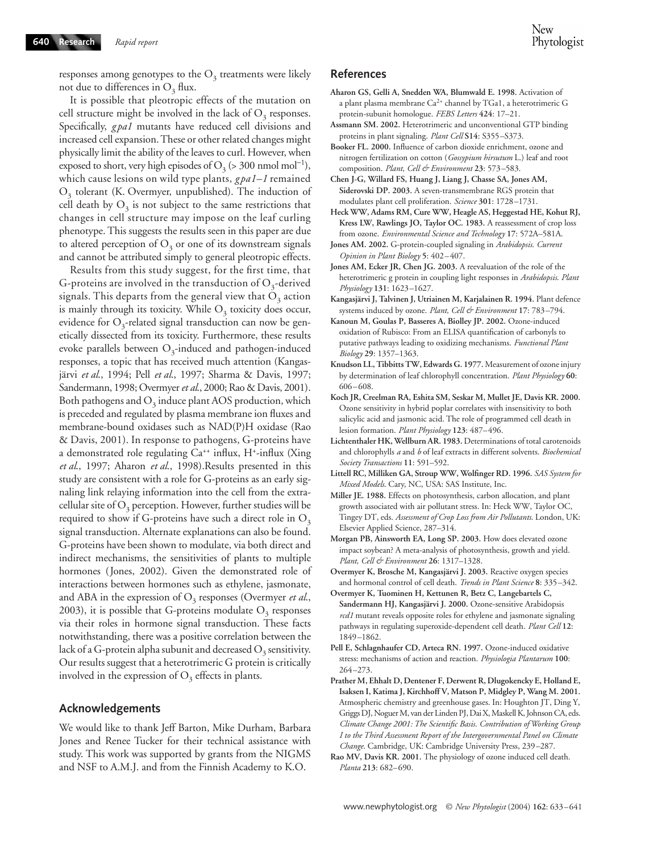responses among genotypes to the  $O_3$  treatments were likely not due to differences in  $O_3$  flux.

It is possible that pleotropic effects of the mutation on cell structure might be involved in the lack of  $O<sub>3</sub>$  responses. Specifically, gpa1 mutants have reduced cell divisions and increased cell expansion. These or other related changes might physically limit the ability of the leaves to curl. However, when exposed to short, very high episodes of O<sub>3</sub> (> 300 nmol mol<sup>-1</sup>), which cause lesions on wild type plants,  $gpd-1$  remained  $O<sub>3</sub>$  tolerant (K. Overmyer, unpublished). The induction of cell death by  $O_3$  is not subject to the same restrictions that changes in cell structure may impose on the leaf curling phenotype. This suggests the results seen in this paper are due to altered perception of  $O<sub>3</sub>$  or one of its downstream signals and cannot be attributed simply to general pleotropic effects.

Results from this study suggest, for the first time, that G-proteins are involved in the transduction of  $O_3$ -derived signals. This departs from the general view that  $O_3$  action is mainly through its toxicity. While  $O<sub>3</sub>$  toxicity does occur, evidence for  $O_3$ -related signal transduction can now be genetically dissected from its toxicity. Furthermore, these results evoke parallels between  $O_3$ -induced and pathogen-induced responses, a topic that has received much attention (Kangasjärvi *et al*., 1994; Pell *et al*., 1997; Sharma & Davis, 1997; Sandermann, 1998; Overmyer *et al*., 2000; Rao & Davis, 2001). Both pathogens and  $O_3$  induce plant AOS production, which is preceded and regulated by plasma membrane ion fluxes and membrane-bound oxidases such as NAD(P)H oxidase (Rao & Davis, 2001). In response to pathogens, G-proteins have a demonstrated role regulating Ca<sup>++</sup> influx, H<sup>+</sup>-influx (Xing *et al*., 1997; Aharon *et al*., 1998).Results presented in this study are consistent with a role for G-proteins as an early signaling link relaying information into the cell from the extracellular site of  $O_3$  perception. However, further studies will be required to show if G-proteins have such a direct role in  $O_3$ signal transduction. Alternate explanations can also be found. G-proteins have been shown to modulate, via both direct and indirect mechanisms, the sensitivities of plants to multiple hormones (Jones, 2002). Given the demonstrated role of interactions between hormones such as ethylene, jasmonate, and ABA in the expression of  $O_3$  responses (Overmyer *et al.*, 2003), it is possible that G-proteins modulate  $O_3$  responses via their roles in hormone signal transduction. These facts notwithstanding, there was a positive correlation between the lack of a G-protein alpha subunit and decreased  $O_3$  sensitivity. Our results suggest that a heterotrimeric G protein is critically involved in the expression of  $O_3$  effects in plants.

#### **Acknowledgements**

We would like to thank Jeff Barton, Mike Durham, Barbara Jones and Renee Tucker for their technical assistance with study. This work was supported by grants from the NIGMS and NSF to A.M.J. and from the Finnish Academy to K.O.

#### **References**

- **Aharon GS, Gelli A, Snedden WA, Blumwald E. 1998.** Activation of a plant plasma membrane Ca2+ channel by TGa1, a heterotrimeric G protein-subunit homologue. *FEBS Letters* **424**: 17–21.
- **Assmann SM. 2002.** Heterotrimeric and unconventional GTP binding proteins in plant signaling. *Plant Cell* **S14**: S355–S373.
- **Booker FL. 2000.** Influence of carbon dioxide enrichment, ozone and nitrogen fertilization on cotton (*Gossypium hirsutum* L.) leaf and root composition. *Plant, Cell & Environment* **23**: 573–583.
- **Chen J-G, Willard FS, Huang J, Liang J, Chasse SA, Jones AM, Siderovski DP. 2003.** A seven-transmembrane RGS protein that modulates plant cell proliferation. *Science* **301**: 1728–1731.
- **Heck WW, Adams RM, Cure WW, Heagle AS, Heggestad HE, Kohut RJ, Kress LW, Rawlings JO, Taylor OC. 1983.** A reassessment of crop loss from ozone. *Environmental Science and Technology* **17**: 572A–581A.
- **Jones AM. 2002.** G-protein-coupled signaling in *Arabidopsis*. *Current Opinion in Plant Biology* **5**: 402–407.
- **Jones AM, Ecker JR, Chen JG. 2003.** A reevaluation of the role of the heterotrimeric g protein in coupling light responses in *Arabidopsis*. *Plant Physiology* **131**: 1623–1627.
- **Kangasjärvi J, Talvinen J, Utriainen M, Karjalainen R. 1994.** Plant defence systems induced by ozone. *Plant, Cell & Environment* **17**: 783–794.
- **Kanoun M, Goulas P, Basseres A, Biolley JP. 2002.** Ozone-induced oxidation of Rubisco: From an ELISA quantification of carbonyls to putative pathways leading to oxidizing mechanisms. *Functional Plant Biology* **29**: 1357–1363.
- **Knudson LL, Tibbitts TW, Edwards G. 1977.** Measurement of ozone injury by determination of leaf chlorophyll concentration. *Plant Physiology* **60**: 606–608.
- **Koch JR, Creelman RA, Eshita SM, Seskar M, Mullet JE, Davis KR. 2000.**  Ozone sensitivity in hybrid poplar correlates with insensitivity to both salicylic acid and jasmonic acid. The role of programmed cell death in lesion formation. *Plant Physiology* **123**: 487–496.
- **Lichtenthaler HK, Wellburn AR. 1983.** Determinations of total carotenoids and chlorophylls *a* and *b* of leaf extracts in different solvents. *Biochemical Society Transactions* **11**: 591–592.
- **Littell RC, Milliken GA, Stroup WW, Wolfinger RD. 1996.** *SAS System for Mixed Models*. Cary, NC, USA: SAS Institute, Inc.
- **Miller JE. 1988.** Effects on photosynthesis, carbon allocation, and plant growth associated with air pollutant stress. In: Heck WW, Taylor OC, Tingey DT, eds. *Assessment of Crop Loss from Air Pollutants*. London, UK: Elsevier Applied Science, 287–314.
- **Morgan PB, Ainsworth EA, Long SP. 2003.** How does elevated ozone impact soybean? A meta-analysis of photosynthesis, growth and yield. *Plant, Cell & Environment* **26**: 1317–1328.
- **Overmyer K, Brosche M, Kangasjärvi J. 2003.** Reactive oxygen species and hormonal control of cell death. *Trends in Plant Science* **8**: 335–342.
- **Overmyer K, Tuominen H, Kettunen R, Betz C, Langebartels C, Sandermann HJ, Kangasjärvi J. 2000.** Ozone-sensitive Arabidopsis *rcd1* mutant reveals opposite roles for ethylene and jasmonate signaling pathways in regulating superoxide-dependent cell death. *Plant Cell* **12**: 1849–1862.
- **Pell E, Schlagnhaufer CD, Arteca RN. 1997.** Ozone-induced oxidative stress: mechanisms of action and reaction. *Physiologia Plantarum* **100**: 264–273.
- **Prather M, Ehhalt D, Dentener F, Derwent R, Dlugokencky E, Holland E, Isaksen I, Katima J, Kirchhoff V, Matson P, Midgley P, Wang M. 2001.**  Atmospheric chemistry and greenhouse gases. In: Houghton JT, Ding Y, Griggs DJ, Noguer M, van der Linden PJ, Dai X, Maskell K, Johnson CA, eds. *Climate Change 2001: The Scientific Basis*. *Contribution of Working Group I to the Third Assessment Report of the Intergovernmental Panel on Climate Change*. Cambridge, UK: Cambridge University Press, 239–287.
- **Rao MV, Davis KR. 2001.** The physiology of ozone induced cell death. *Planta* **213**: 682–690.